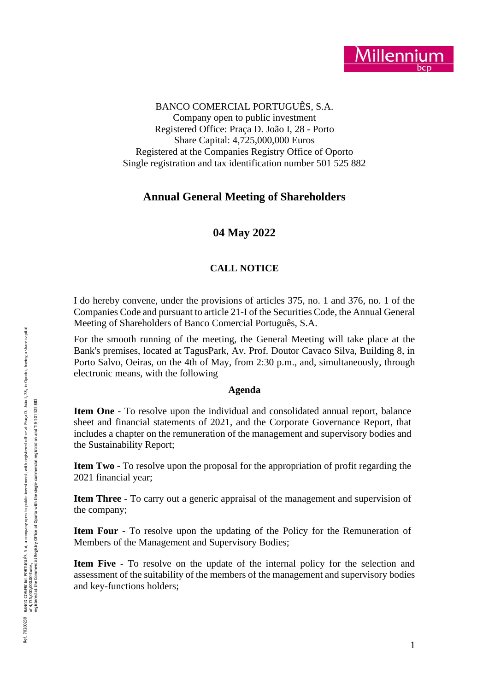

BANCO COMERCIAL PORTUGUÊS, S.A. Company open to public investment Registered Office: Praça D. João I, 28 - Porto Share Capital: 4,725,000,000 Euros Registered at the Companies Registry Office of Oporto Single registration and tax identification number 501 525 882

# **Annual General Meeting of Shareholders**

# **04 May 2022**

### **CALL NOTICE**

I do hereby convene, under the provisions of articles 375, no. 1 and 376, no. 1 of the Companies Code and pursuant to article 21 -I of the Securities Code, the Annual General Meeting of Shareholders of Banco Comercial Português, S.A.

For the smooth running of the meeting, the General Meeting will take place at the Bank's premises, located at TagusPark, Av. Prof. Doutor Cavaco Silva, Building 8, in Porto Salvo, Oeiras, on the 4th of May, from 2:30 p . m., and, simultaneously, through electronic means, with the following

#### **Agenda**

Item One - To resolve upon the individual and consolidated annual report, balance sheet and financial statements of 2021, and the Corporate Governance Report, that includes a chapter on the remuneration of the management and supervisory bodies and the Sustainability Report;

**Item Two** - To resolve upon the proposal for the appropriation of profit regarding the 2021 financial year;

**Item Three** - To carry out a generic appraisal of the management and supervision of the company;

**Item Four** - To resolve upon the updating of the Policy for the Remuneration of Members of the Management and Supervisory Bodies;

**Item Five** - To resolve on the update of the internal policy for the selection and assessment of the suitability of the members of the management and supervisory bodies and key -functions holders ;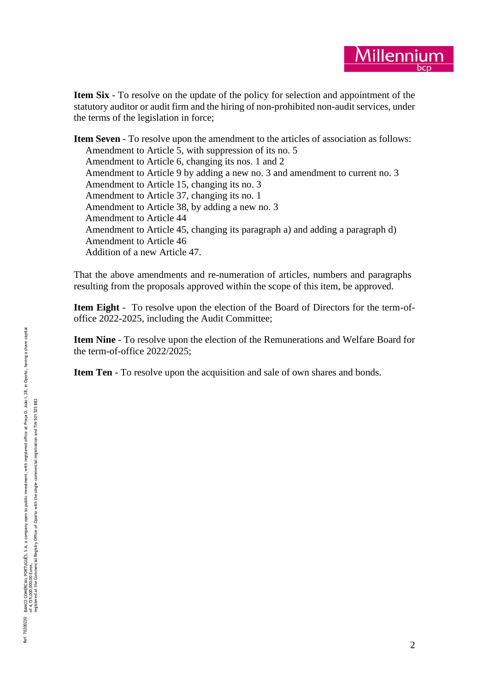

**Item Six** - To resolve on the update of the policy for selection and appointment of the statutory auditor or audit firm and the hiring of non -prohibited non -audit services, under the terms of the legislation in force;

**Item Seven** - To resolve upon the amendment to the articles of association as follows: Amendment to Article 5, with suppression of its no. 5 Amendment to Article 6, changing its nos. 1 and 2 Amendment to Article 9 by adding a new no. 3 and amendment to current no. 3 Amendment to Article 15, changing its no. 3 Amendment to Article 37, changing its no. 1 Amendment to Article 38, by adding a new no. 3 Amendment to Article 44 Amendment to Article 45, changing its paragraph a) and adding a paragraph d) Amendment to Article 46 Addition of a new Article 47.

That the above amendments and re -numeration of articles, numbers and paragraphs resulting from the proposals approved within the scope of this item, be approved.

**Item Eight** - To resolve upon the election of the Board of Directors for the term-ofoffice 2022-2025, including the Audit Committee;

Item Nine - To resolve upon the election of the Remunerations and Welfare Board for the term -of-office 2022/2025;

**Item Ten** - To resolve upon the acquisition and sale of own shares and bonds.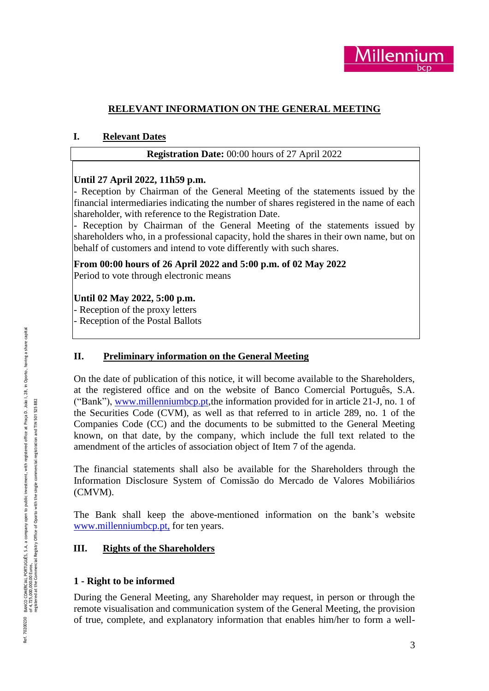

# **RELEVANT INFORMATION ON THE GENERAL MEETING**

### **I. Relevant Dates**

# **Registration Date:** 00:00 hours o f 27 April 2022

### **Until 27 April 2022, 11h59 p.m.**

- Reception by Chairman of the General Meeting of the statements issued by the financial intermediaries indicating the number of shares registered in the name of each

- Reception by Chairman of the General Meeting of the statements issued by shareholders who, in a professional capacity, hold the shares in their own name, but on behalf of customers and intend to vote differently with such shares .

**From 00:00 hours of 26 April 2022 and 5:00 p.m. of 02 May 2022** Period to vote through electronic means

### **Until 02 May 2022, 5:00 p.m.**

- Reception of the proxy letters

- Reception of the Postal Ballots

### **II. Preliminary information on the General Meeting**

On the date of publication of this notice, it will become available to the Shareholders, at the registered office and on the website of Banco Comercial Português, S.A. ("Bank"), [www.millenniumbcp.pt,](http://www.millenniumbcp.pt/) the information provided for in article 21-J, no. 1 of the Securities Code (CVM), as well as that referred to in article 289, no. 1 of the Companies Code (CC) and the documents to be submitted to the General Meeting known, on that date, by the company, which include the full text related to the amendment of the articles of association object of Item 7 of the agenda .

The financial statements shall also be available for the Shareholders through the Information Disclosure System of Comissão do Mercado de Valores Mobiliários (CMVM).

The Bank shall keep the above -mentioned information on the bank's website [www.millenniumbcp.pt](http://www.millenniumbcp.pt/en), for ten years.

### **III. Rights of the Shareholders**

# **1 - Right to be informed**

During the General Meeting, any Shareholder may request, in person or through the remote visualisation and communication system of the General Meeting, the provision of true, complete, and explanatory information that enables him/her to form a well -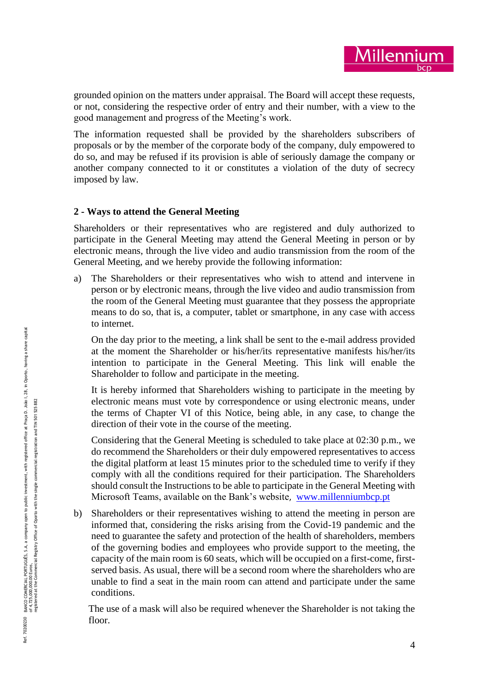grounded opinion on the matters under appraisal. The Board will accept these requests, or not, considering the respective order of entry and their number, with a view to the good management and progress of the Meeting's work.

The information requested shall be provided by the shareholders subscribers of proposals or by the member of the corporate body of the company, duly empowered to do so, and may be refused if its provision is able of seriously damage the company or another company connected to it or constitutes a violation of the duty of secrecy imposed by law.

### **2 - Ways to attend the General Meeting**

Shareholders or their representatives who are registered and duly authorized to participate in the General Meeting may attend the General Meeting in person or by electronic means, through the live video and audio transmission from the room of the General Meeting, and we hereby provide the following information:

a) The Shareholders or their representatives who wish to attend and intervene in person or by electronic means, through the live video and audio transmission from the room of the General Meeting must guarantee that they possess the appropriate means to do so, that is, a computer, tablet or smartphone, in any case with access to internet.

On the day prior to the meeting, a link shall be sent to the e -mail address provided at the moment the Shareholder or his/her/its representative manifests his/her/its intention to participate in the General Meeting. This link will enable the Shareholder to follow and participate in the meeting .

It is hereby informed that Shareholders wishing to participate in the meeting by electronic means must vote by correspondence or using electronic means, under the terms of Chapter VI of this Notice, being able, in any case, to change the direction of their vote in the course of the meeting.

Considering that the General Meeting is scheduled to take place at 02:30 p.m., we do recommend the Shareholders or their duly empowered representatives to access the digital platform at least 15 minutes prior to the scheduled time to verify if they comply with all the conditions required for their participation. The Shareholders should consult the Instructions to be able to participate in the General Meeting with Microsoft Teams, available on the Bank's website, [www.millenniumbcp.pt](http://www.millenniumbcp.pt/)

b) Shareholders or their representatives wishing to attend the meeting in person are informed that, considering the risks arising from the Covid -19 pandemic and the need to guarantee the safety and protection of the health of shareholders, members of the governing bodies and employees who provide support to the meeting, the capacity of the main room is 60 seats, which will be occupied on a first -come, first served basis. As usual, there will be a second room where the shareholders who are unable to find a seat in the main room can attend and participate under the same conditions.

The use of a mask will also be required whenever the Shareholder is not taking the floor.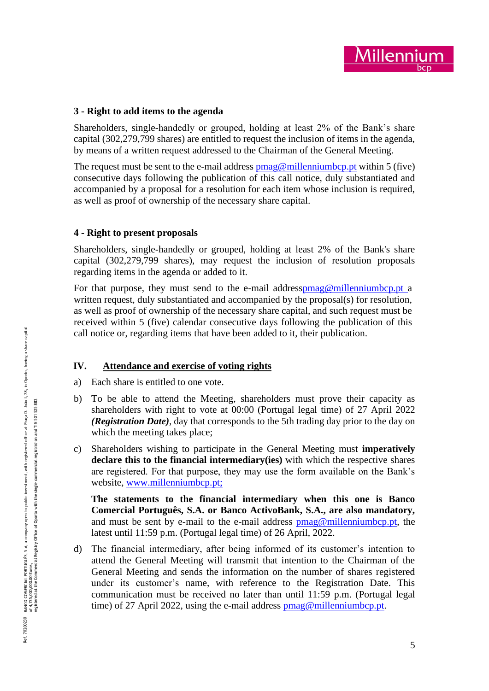# **3 - Right to add items to the agenda**

Shareholders, single -handedly or grouped, holding at least 2% of the Bank's share capital (302,279,799 shares) are entitled to request the inclusion of items in the agenda, by means of a written request addressed to the Chairman of the General Meeting.

The request must be sent to the e-mail address  $\overline{pmag@millenniumbcppt}$  within 5 (five) consecutive days following the publication of this call notice, duly substantiated and accompanied by a proposal for a resolution for each item whose inclusion is required, as well as proof of ownership of the necessary share capital.

# **4 - Right to present proposals**

Shareholders, single -handedly or grouped, holding at least 2% of the Bank's share capital (302,279,799 shares), may request the inclusion of resolution proposals regarding items in the agenda or added to it.

For that purpose, they must send to the e-mail addres[spmag@millenniumbcp.pt](mailto:pmag@millenniumbcp.pt) a written request, duly substantiated and accompanied by the proposal(s) for resolution, as well as proof of ownership of the necessary share capital, and such request must be received within 5 (five) calendar consecutive days following the publication of this call notice or, regarding items that have been added to it, their publication.

# **IV. Attendance and exercise of voting rights**

- a) Each share is entitled to one vote.
- b) To be able to attend the Meeting, shareholders must prove their capacity as shareholders with right to vote at 0 0:00 (Portugal legal time) o f 27 April 2022 *(Registration Date )*, day that corresponds to the 5th trading day prior to the day on which the meeting takes place;
- c) Shareholders wishing to participate in the General Meeting must **imperatively declare this to the financial intermediary(ies)** with which the respective shares are registered. For that purpose, they may use the form available on the Bank's website, [www.millenniumbcp.pt](http://www.millenniumbcp.pt/);

**The statements to the financial intermediary when this one is Banco Comercial Português, S.A. or Banco ActivoBank, S.A., are also mandatory,** and must be sent by e-mail to the e-mail address **pmag@millenniumbcp.pt**, the latest until 11:59 p.m. (Portugal legal time) of 26 April, 2022.

d) The financial intermediary, after being informed of its customer's intention to attend the General Meeting will transmit that intention to the Chairman of the General Meeting and sends the information on the number of shares registered under its customer's name, with reference to the Registration Date. This communication must be received no later than until 11:59 p.m. (Portugal legal time) of 27 April 2022, using the e-mail address **pmag@millenniumbcp.pt**.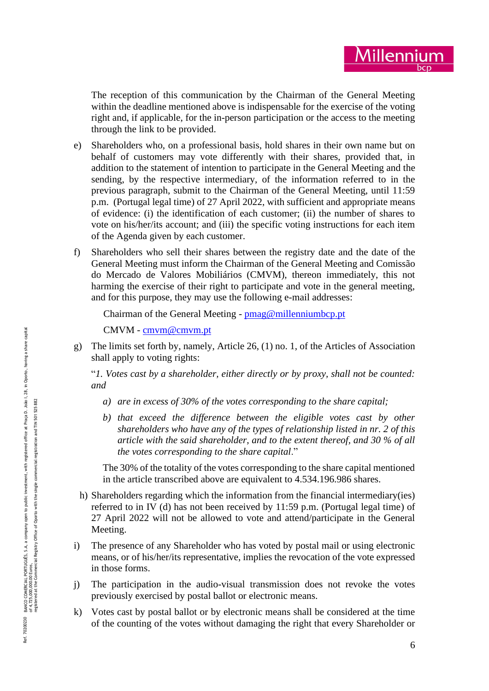

The reception of this communication by the Chairman of the General Meeting within the deadline mentioned above is indispensable for the exercise of the voting right and, if applicable, for the in -person participation or the access to the meeting through the link to be provided.

- e) Shareholders who, on a professional basis, hold shares in their own name but on behalf of customers may vote differently with their shares, provided that, in addition to the statement of intention to participate in the General Meeting and the sending, by the respective intermediary, of the information referred to in the previous paragraph, submit to the Chairman of the General Meeting, until 11:59 p.m. (Portugal legal time) o f 27 April 2022, with sufficient and appropriate means of evidence: (i) the identification of each customer; (ii) the number of shares to vote on his/her/its account; and (iii) the specific voting instructions for each item of the Agenda given by each customer.
- f) Shareholders who sell their shares between the registry date and the date of the General Meeting must inform the Chairman of the General Meeting and Comissão do Mercado de Valores Mobiliários (CMVM), thereon immediately, this not harming the exercise of their right to participate and vote in the general meeting, and for this purpose, they may use the following e -mail addresses:

Chairman of the General Meeting - **[pmag@millenniumbcp.pt](mailto:pmag@millenniumbcp.pt.)** 

```
cmvm@cmvm.pt</u>
```
g) The limits set forth by, namely, Article 26 , (1) no. 1, of the Articles of Association shall apply to voting rights :

"*1. Votes cast by a shareholder, either directly or by proxy, shall not be counted: and* 

- *a) are in excess of 30% of the votes corresponding to the share capital;*
- *b) that exceed the difference between the eligible votes cast by other shareholders who have any of the types of relationship listed in nr. 2 of this article with the said shareholder, and to the extent thereof, and 30 % of all the votes corresponding to the share capital*."

The 30% of the totality of the votes corresponding to the share capital mentioned in the article transcribed above are equivalent to 4.534.196.986 shares.

- h) Shareholders regarding which the information from the financial intermediary(ies) referred to in IV (d) has not been received by 11:59 p.m. (Portugal legal time) o f 27 April 2022 will not be allowed to vote and attend/participate in the General Meeting.
- i) The presence of any Shareholder who has voted by postal mail or using electronic means, or of his/her/its representative, implies the revocation of the vote expressed in those forms .
- j) The participation in the audio -visual transmission does not revoke the votes previously exercised by postal ballot or electronic means.
- k) Votes cast by postal ballot or by electronic means shall be considered at the time of the counting of the votes without damaging the right that every Shareholder or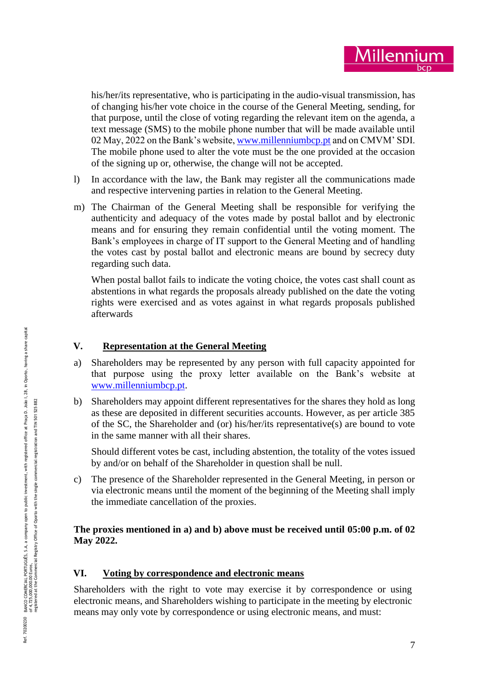his/her/its representative, who is participating in the audio-visual transmission, has of changing his/her vote choice in the course of the General Meeting, sending, for that purpose, until the close of voting regarding the relevant item on the agenda, a text message (SMS) to the mobile phone number that will be made available until 02 May, 2022 on the Bank's website[, www.millenniumbcp.pt](http://www.millenniumbcp.pt/) and on CMVM' SDI. The mobile phone used to alter the vote must be the one provided at the occasion of the signing up or, otherwise, the change will not be accepted.

- l) In accordance with the law, the Bank may register all the communications made and respective intervening parties in relation to the General Meeting.
- m) The Chairman of the General Meeting shall be responsible for verifying the authenticity and adequacy of the votes made by postal ballot and by electronic means and for ensuring they remain confidential until the voting moment. The Bank's employees in charge of IT support to the General Meeting and of handling the votes cast by postal ballot and electronic means are bound by secrecy duty regarding such data.

When postal ballot fails to indicate the voting choice, the votes cast shall count as abstentions in what regards the proposals already published on the date the voting rights were exercised and as votes against in what regards proposals published afterwards

# **V. Representation at the General Meeting**

- a) Shareholders may be represented by any person with full capacity appointed for that purpose using the proxy letter available on the Bank's website at [www.millenniumbcp.pt](http://www.millenniumbcp.pt/) .
- b) Shareholders may appoint different representatives for the shares they hold as long as these are deposited in different securities accounts. However, as per article 385 of the SC, the Shareholder and (or) his/her/its representative(s) are bound to vote in the same manner with all their shares.

Should different votes be cast, including abstention, the totality of the votes issued by and/or on behalf of the Shareholder in question shall be null.

c) The presence of the Shareholder represented in the General Meeting, in person or via electronic means until the moment of the beginning of the Meeting shall imply the immediate cancellation of the proxies.

# **The proxies mentioned in a) and b) above must be received until 0 5:00 p.m. o f 02 May 2022.**

# **VI. Voting by correspondence and electronic means**

Shareholders with the right to vote may exercise it by correspondence or using electronic means, and Shareholders wishing to participate in the meeting by electronic means may only vote by correspondence or using electronic means, and must: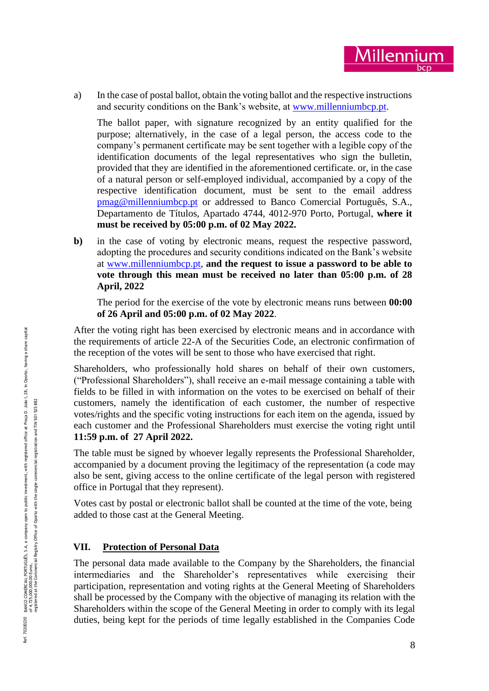a) In the case of postal ballot, obtain the voting ballot and the respective instructions and security conditions on the Bank's website, at [www.millenniumbcp.pt](http://www.millenniumbcp.pt/).

The ballot paper, with signature recognized by an entity qualified for the purpose; alternatively, in the case of a legal person, the access code to the company's permanent certificate may be sent together with a legible copy of the identification documents of the legal representatives who sign the bulletin, provided that they are identified in the aforementioned certificate. or, in the case of a natural person or self-employed individual, accompanied by a copy of the respective identification document, must be sent to the email address pmag@millenniumbcp.pt or addressed to Banco Comercial Português, S.A., Departamento de Títulos, Apartado 4744, 4012 -970 Porto, Portugal, **where it must be received by 0 5:00 p . m . o f 0 2 May 2022.**

**b**) in the case of voting by electronic means, request the respective password, adopting the procedures and security conditions indicated on the Bank's website at [www.millenniumbcp.pt,](http://www.millenniumbcp.pt/) **and the request to issue a password to be able to vote through this mean must be received no later than 05:00 p.m. o f 28 April, 2022**

The period for the exercise of the vote by electronic means runs between **00:00 o f 26 April and 0 5:00 p.m. o f 02 May 2022** .

After the voting right has been exercised by electronic means and in accordance with the requirements of article 22 -A of the Securities Code, an electronic confirmation of the reception of the votes will be sent to those who have exercised that right.

Shareholders, who professionally hold shares on behalf of their own customers, ("Professional Shareholders"), shall receive an e -mail message containing a table with fields to be filled in with information on the votes to be exercised on behalf of their customers, namely the identification of each customer, the number of respective votes/rights and the specific voting instructions for each item on the agenda, issued by each customer and the Professional Shareholders must exercise the voting right until **11:59 p.m. of 27 April 2022.**

The table must be signed by whoever legally represents the Professional Shareholder, accompanied by a document proving the legitimacy of the representation (a code may also be sent, giving access to the online certificate of the legal person with registered office in Portugal that they represent).

Votes cast by postal or electronic ballot shall be counted at the time of the vote, being added to those cast at the General Meeting.

# **VII. Protection of Personal Data**

The personal data made available to the Company by the Shareholders, the financial intermediaries and the Shareholder's representatives while exercising their participation, representation and voting rights at the General Meeting of Shareholders shall be processed by the Company with the objective of managing its relation with the Shareholders within the scope of the General Meeting in order to comply with its legal duties, being kept for the periods of time legally established in the Companies Code